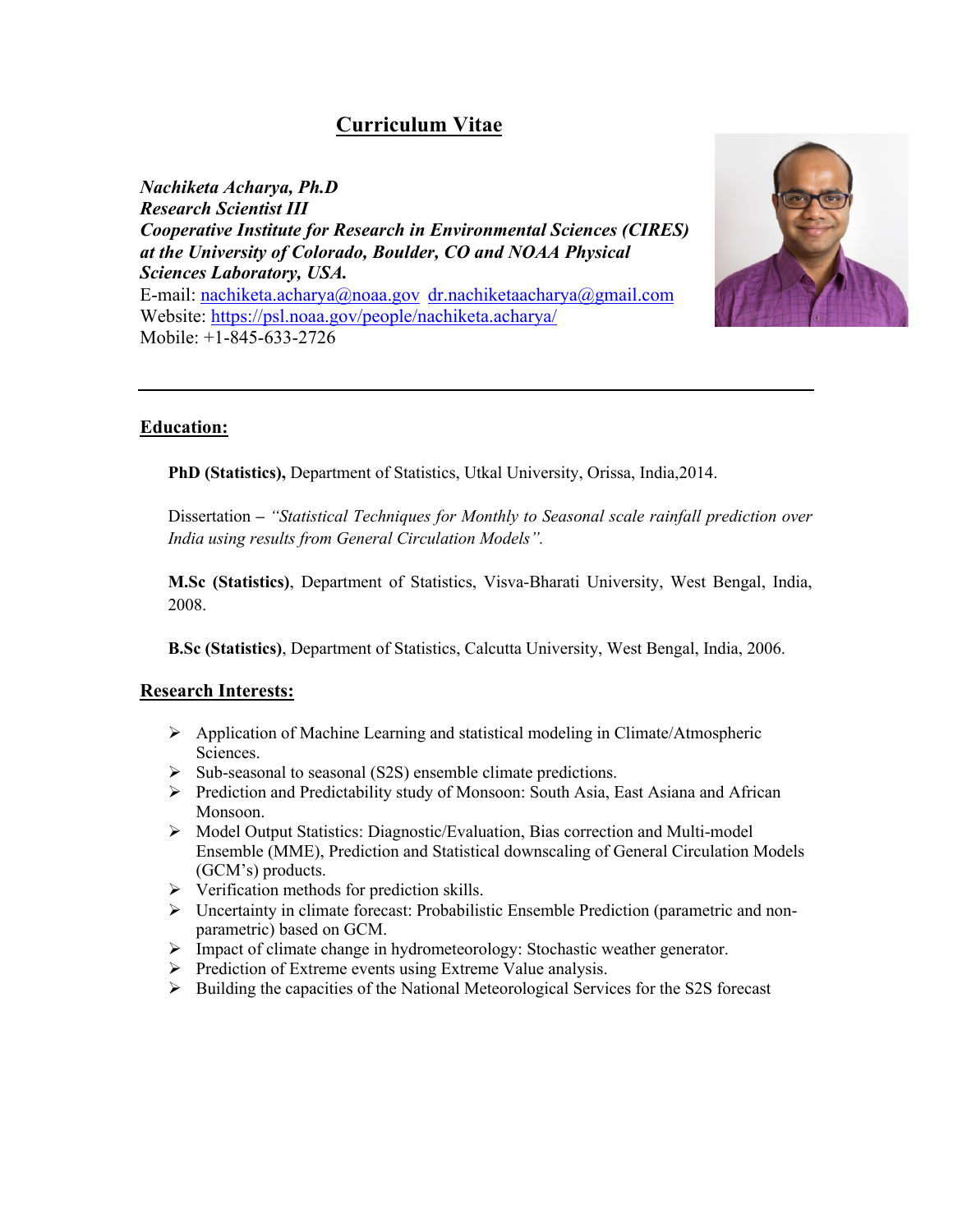# **Curriculum Vitae**

*Nachiketa Acharya, Ph.D Research Scientist III Cooperative Institute for Research in Environmental Sciences (CIRES) at the University of Colorado, Boulder, CO and NOAA Physical Sciences Laboratory, USA.* E-mail: nachiketa.acharya@noaa.gov dr.nachiketaacharya@gmail.com Website: https://psl.noaa.gov/people/nachiketa.acharya/ Mobile: +1-845-633-2726



# **Education:**

**PhD (Statistics),** Department of Statistics, Utkal University, Orissa, India,2014.

Dissertation **–** *"Statistical Techniques for Monthly to Seasonal scale rainfall prediction over India using results from General Circulation Models".*

**M.Sc (Statistics)**, Department of Statistics, Visva-Bharati University, West Bengal, India, 2008.

**B.Sc (Statistics)**, Department of Statistics, Calcutta University, West Bengal, India, 2006.

# **Research Interests:**

- $\triangleright$  Application of Machine Learning and statistical modeling in Climate/Atmospheric Sciences.
- $\triangleright$  Sub-seasonal to seasonal (S2S) ensemble climate predictions.
- $\triangleright$  Prediction and Predictability study of Monsoon: South Asia, East Asiana and African Monsoon.
- $\triangleright$  Model Output Statistics: Diagnostic/Evaluation, Bias correction and Multi-model Ensemble (MME), Prediction and Statistical downscaling of General Circulation Models (GCM's) products.
- $\triangleright$  Verification methods for prediction skills.
- $\triangleright$  Uncertainty in climate forecast: Probabilistic Ensemble Prediction (parametric and nonparametric) based on GCM.
- Ø Impact of climate change in hydrometeorology: Stochastic weather generator.
- Ø Prediction of Extreme events using Extreme Value analysis.
- $\triangleright$  Building the capacities of the National Meteorological Services for the S2S forecast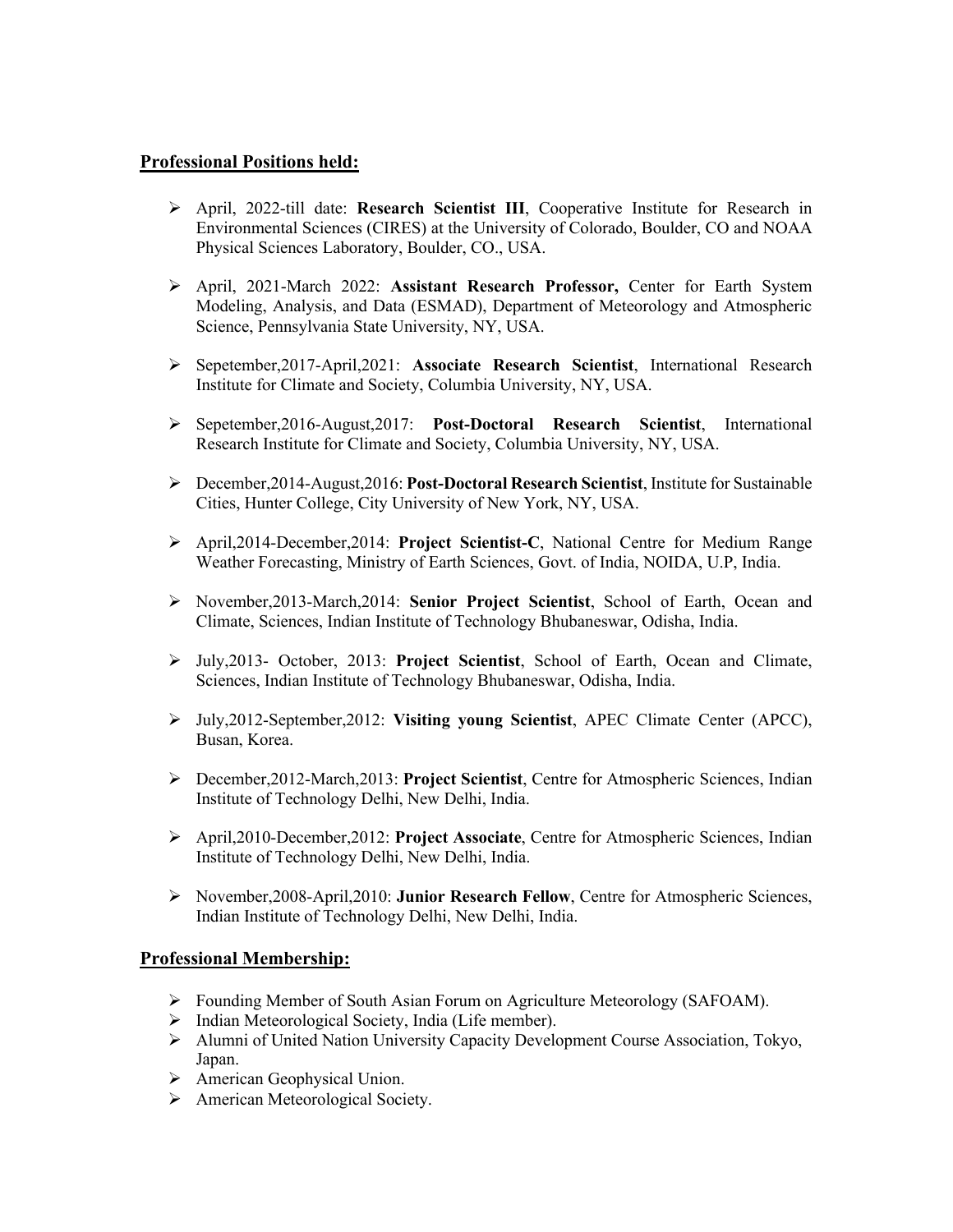# **Professional Positions held:**

- Ø April, 2022-till date: **Research Scientist III**, Cooperative Institute for Research in Environmental Sciences (CIRES) at the University of Colorado, Boulder, CO and NOAA Physical Sciences Laboratory, Boulder, CO., USA.
- Ø April, 2021-March 2022: **Assistant Research Professor,** Center for Earth System Modeling, Analysis, and Data (ESMAD), Department of Meteorology and Atmospheric Science, Pennsylvania State University, NY, USA.
- Ø Sepetember,2017-April,2021: **Associate Research Scientist**, International Research Institute for Climate and Society, Columbia University, NY, USA.
- Ø Sepetember,2016-August,2017: **Post-Doctoral Research Scientist**, International Research Institute for Climate and Society, Columbia University, NY, USA.
- Ø December,2014-August,2016: **Post-Doctoral Research Scientist**, Institute for Sustainable Cities, Hunter College, City University of New York, NY, USA.
- Ø April,2014-December,2014: **Project Scientist-C**, National Centre for Medium Range Weather Forecasting, Ministry of Earth Sciences, Govt. of India, NOIDA, U.P, India.
- Ø November,2013-March,2014: **Senior Project Scientist**, School of Earth, Ocean and Climate, Sciences, Indian Institute of Technology Bhubaneswar, Odisha, India.
- Ø July,2013- October, 2013: **Project Scientist**, School of Earth, Ocean and Climate, Sciences, Indian Institute of Technology Bhubaneswar, Odisha, India.
- Ø July,2012-September,2012: **Visiting young Scientist**, APEC Climate Center (APCC), Busan, Korea.
- Ø December,2012-March,2013: **Project Scientist**, Centre for Atmospheric Sciences, Indian Institute of Technology Delhi, New Delhi, India.
- Ø April,2010-December,2012: **Project Associate**, Centre for Atmospheric Sciences, Indian Institute of Technology Delhi, New Delhi, India.
- Ø November,2008-April,2010: **Junior Research Fellow**, Centre for Atmospheric Sciences, Indian Institute of Technology Delhi, New Delhi, India.

#### **Professional Membership:**

- Ø Founding Member of South Asian Forum on Agriculture Meteorology (SAFOAM).
- $\triangleright$  Indian Meteorological Society, India (Life member).
- $\triangleright$  Alumni of United Nation University Capacity Development Course Association, Tokyo, Japan.
- $\triangleright$  American Geophysical Union.
- Ø American Meteorological Society.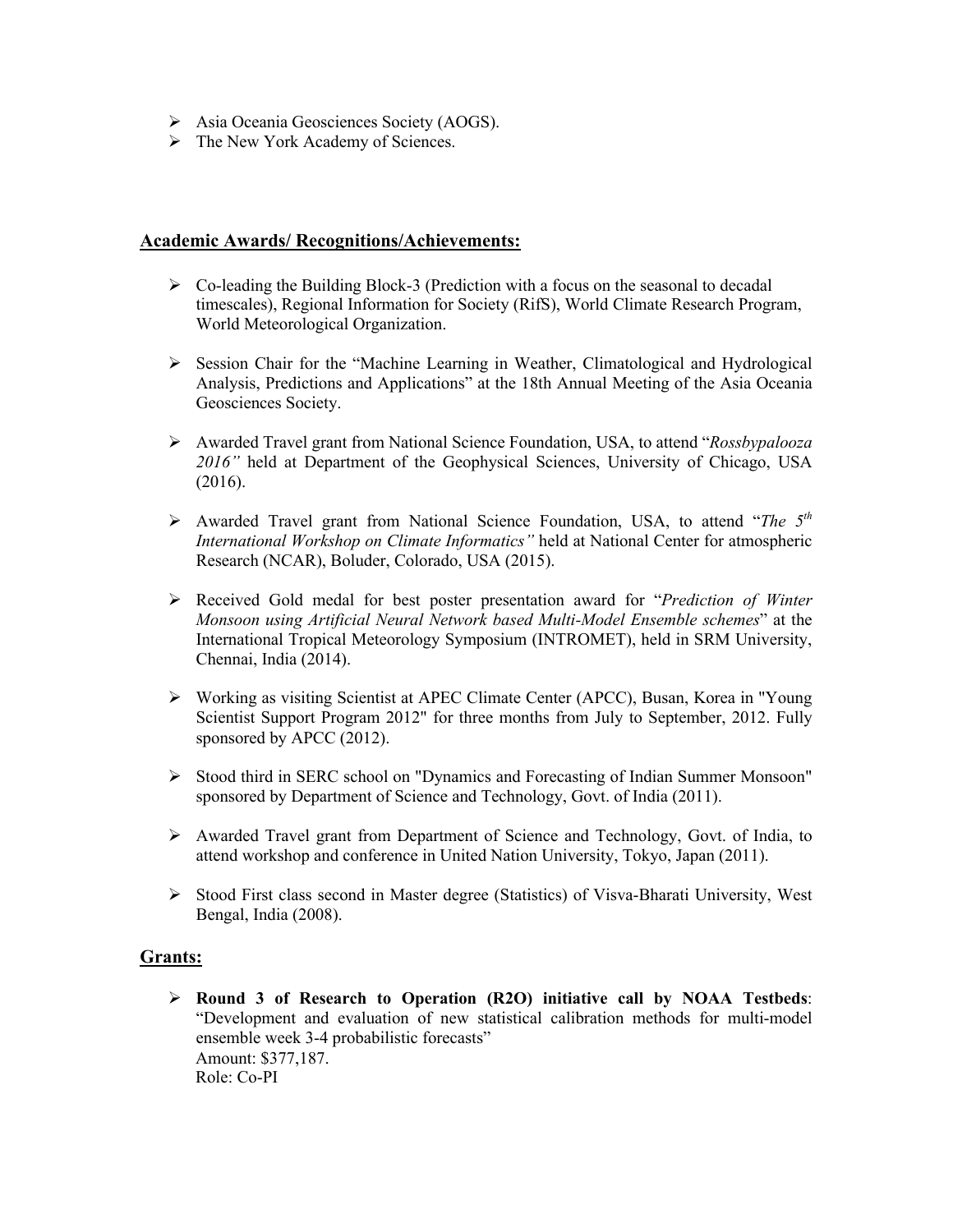- Ø Asia Oceania Geosciences Society (AOGS).
- $\triangleright$  The New York Academy of Sciences.

### **Academic Awards/ Recognitions/Achievements:**

- $\triangleright$  Co-leading the Building Block-3 (Prediction with a focus on the seasonal to decadal timescales), Regional Information for Society (RifS), World Climate Research Program, World Meteorological Organization.
- $\triangleright$  Session Chair for the "Machine Learning in Weather, Climatological and Hydrological Analysis, Predictions and Applications" at the 18th Annual Meeting of the Asia Oceania Geosciences Society.
- Ø Awarded Travel grant from National Science Foundation, USA, to attend "*Rossbypalooza 2016"* held at Department of the Geophysical Sciences, University of Chicago, USA (2016).
- Ø Awarded Travel grant from National Science Foundation, USA, to attend "*The 5th International Workshop on Climate Informatics"* held at National Center for atmospheric Research (NCAR), Boluder, Colorado, USA (2015).
- Ø Received Gold medal for best poster presentation award for "*Prediction of Winter Monsoon using Artificial Neural Network based Multi-Model Ensemble schemes*" at the International Tropical Meteorology Symposium (INTROMET), held in SRM University, Chennai, India (2014).
- $\triangleright$  Working as visiting Scientist at APEC Climate Center (APCC), Busan, Korea in "Young Scientist Support Program 2012" for three months from July to September, 2012. Fully sponsored by APCC (2012).
- Ø Stood third in SERC school on "Dynamics and Forecasting of Indian Summer Monsoon" sponsored by Department of Science and Technology, Govt. of India (2011).
- Ø Awarded Travel grant from Department of Science and Technology, Govt. of India, to attend workshop and conference in United Nation University, Tokyo, Japan (2011).
- Ø Stood First class second in Master degree (Statistics) of Visva-Bharati University, West Bengal, India (2008).

# **Grants:**

Ø **Round 3 of Research to Operation (R2O) initiative call by NOAA Testbeds**: "Development and evaluation of new statistical calibration methods for multi-model ensemble week 3-4 probabilistic forecasts" Amount: \$377,187. Role: Co-PI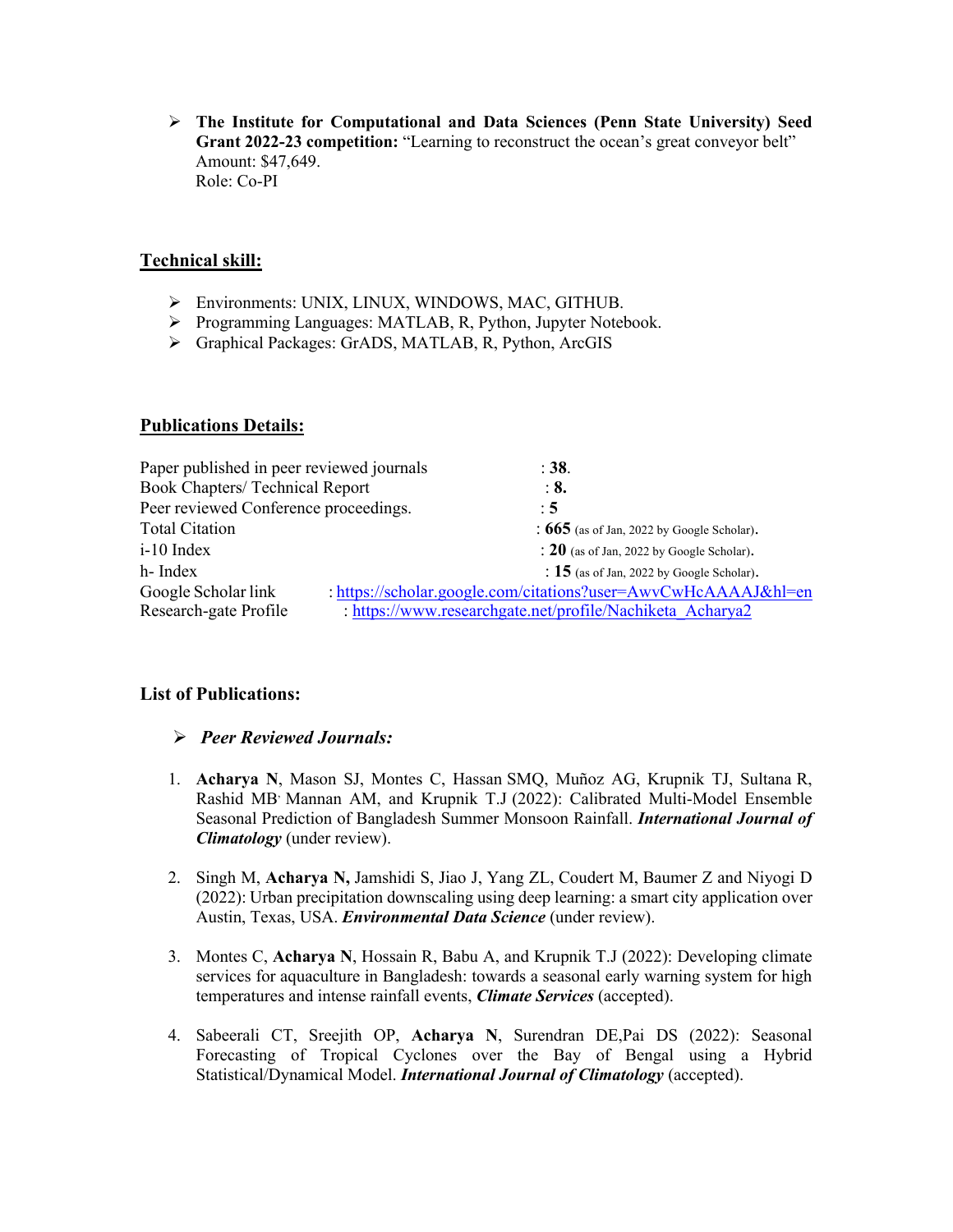Ø **The Institute for Computational and Data Sciences (Penn State University) Seed**  Grant 2022-23 competition: "Learning to reconstruct the ocean's great conveyor belt" Amount: \$47,649. Role: Co-PI

# **Technical skill:**

- Ø Environments: UNIX, LINUX, WINDOWS, MAC, GITHUB.
- Ø Programming Languages: MATLAB, R, Python, Jupyter Notebook.
- Ø Graphical Packages: GrADS, MATLAB, R, Python, ArcGIS

# **Publications Details:**

| Paper published in peer reviewed journals |                                                                | : 38.                                        |
|-------------------------------------------|----------------------------------------------------------------|----------------------------------------------|
| <b>Book Chapters/ Technical Report</b>    |                                                                | $\therefore$ 8.                              |
| Peer reviewed Conference proceedings.     |                                                                | : 5                                          |
| <b>Total Citation</b>                     |                                                                | : $665$ (as of Jan, 2022 by Google Scholar). |
| i-10 Index                                |                                                                | : $20$ (as of Jan, 2022 by Google Scholar).  |
| h- Index                                  |                                                                | : $15$ (as of Jan, 2022 by Google Scholar).  |
| Google Scholar link                       | : https://scholar.google.com/citations?user=AwvCwHcAAAAJ&hl=en |                                              |
| Research-gate Profile                     | : https://www.researchgate.net/profile/Nachiketa Acharya2      |                                              |
|                                           |                                                                |                                              |

# **List of Publications:**

# Ø *Peer Reviewed Journals:*

- 1. **Acharya N**, Mason SJ, Montes C, Hassan SMQ, Muñoz AG, Krupnik TJ, Sultana R, Rashid MB, Mannan AM, and Krupnik T.J (2022): Calibrated Multi-Model Ensemble Seasonal Prediction of Bangladesh Summer Monsoon Rainfall. *International Journal of Climatology* (under review).
- 2. Singh M, **Acharya N,** Jamshidi S, Jiao J, Yang ZL, Coudert M, Baumer Z and Niyogi D (2022): Urban precipitation downscaling using deep learning: a smart city application over Austin, Texas, USA. *Environmental Data Science* (under review).
- 3. Montes C, **Acharya N**, Hossain R, Babu A, and Krupnik T.J (2022): Developing climate services for aquaculture in Bangladesh: towards a seasonal early warning system for high temperatures and intense rainfall events, *Climate Services* (accepted).
- 4. Sabeerali CT, Sreejith OP, **Acharya N**, Surendran DE,Pai DS (2022): Seasonal Forecasting of Tropical Cyclones over the Bay of Bengal using a Hybrid Statistical/Dynamical Model. *International Journal of Climatology* (accepted).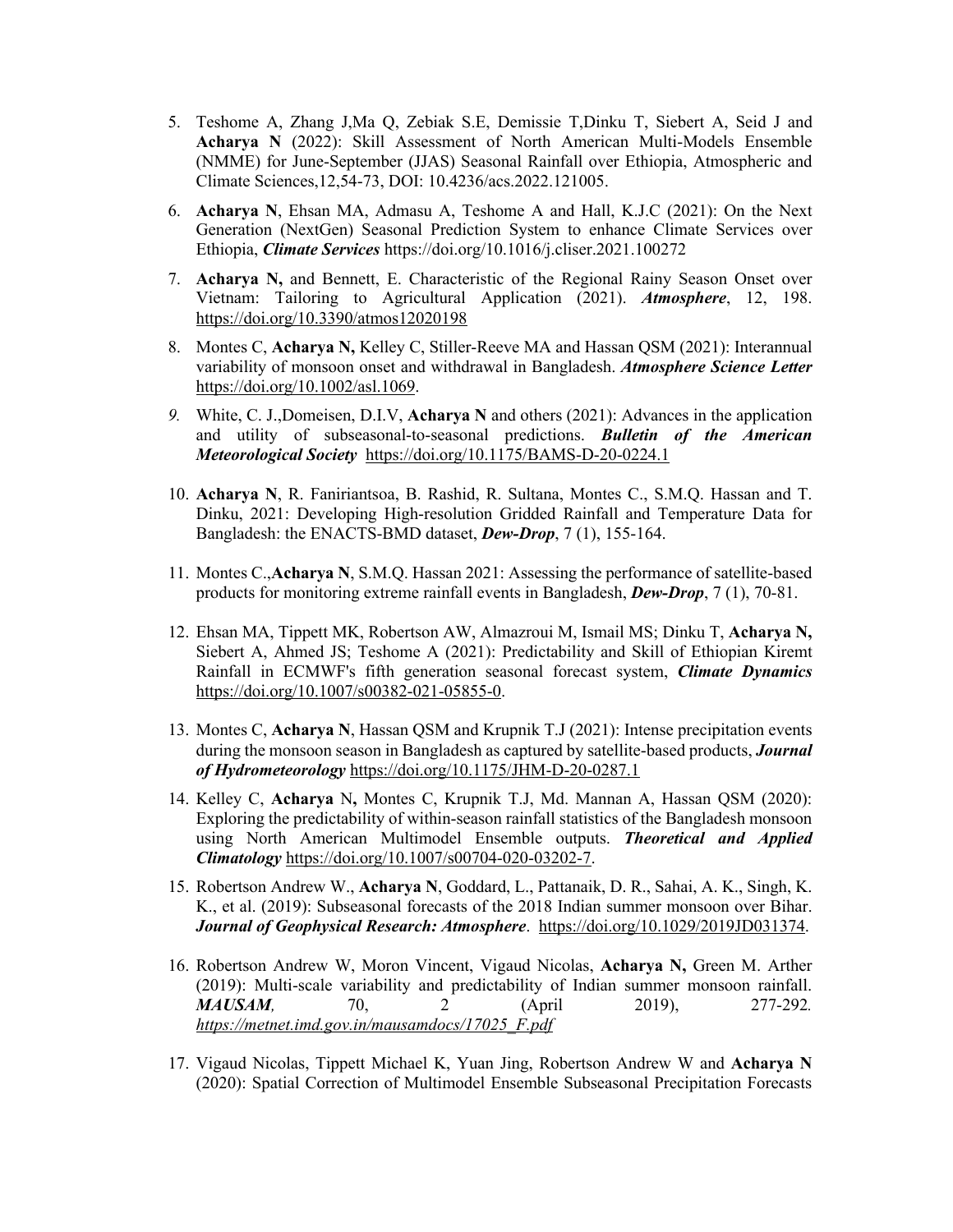- 5. Teshome A, Zhang J,Ma Q, Zebiak S.E, Demissie T,Dinku T, Siebert A, Seid J and **Acharya N** (2022): Skill Assessment of North American Multi-Models Ensemble (NMME) for June-September (JJAS) Seasonal Rainfall over Ethiopia, Atmospheric and Climate Sciences,12,54-73, DOI: 10.4236/acs.2022.121005.
- 6. **Acharya N**, Ehsan MA, Admasu A, Teshome A and Hall, K.J.C (2021): On the Next Generation (NextGen) Seasonal Prediction System to enhance Climate Services over Ethiopia, *Climate Services* https://doi.org/10.1016/j.cliser.2021.100272
- 7. **Acharya N,** and Bennett, E. Characteristic of the Regional Rainy Season Onset over Vietnam: Tailoring to Agricultural Application (2021). *Atmosphere*, 12, 198. https://doi.org/10.3390/atmos12020198
- 8. Montes C, **Acharya N,** Kelley C, Stiller-Reeve MA and Hassan QSM (2021): Interannual variability of monsoon onset and withdrawal in Bangladesh. *Atmosphere Science Letter* https://doi.org/10.1002/asl.1069.
- *9.* White, C. J.,Domeisen, D.I.V, **Acharya N** and others (2021): Advances in the application and utility of subseasonal-to-seasonal predictions. *Bulletin of the American Meteorological Society* https://doi.org/10.1175/BAMS-D-20-0224.1
- 10. **Acharya N**, R. Faniriantsoa, B. Rashid, R. Sultana, Montes C., S.M.Q. Hassan and T. Dinku, 2021: Developing High-resolution Gridded Rainfall and Temperature Data for Bangladesh: the ENACTS-BMD dataset, *Dew-Drop*, 7 (1), 155-164.
- 11. Montes C.,**Acharya N**, S.M.Q. Hassan 2021: Assessing the performance of satellite-based products for monitoring extreme rainfall events in Bangladesh, *Dew-Drop*, 7 (1), 70-81.
- 12. Ehsan MA, Tippett MK, Robertson AW, Almazroui M, Ismail MS; Dinku T, **Acharya N,** Siebert A, Ahmed JS; Teshome A (2021): Predictability and Skill of Ethiopian Kiremt Rainfall in ECMWF's fifth generation seasonal forecast system, *Climate Dynamics*  https://doi.org/10.1007/s00382-021-05855-0.
- 13. Montes C, **Acharya N**, Hassan QSM and Krupnik T.J (2021): Intense precipitation events during the monsoon season in Bangladesh as captured by satellite-based products, *Journal of Hydrometeorology* https://doi.org/10.1175/JHM-D-20-0287.1
- 14. Kelley C, **Acharya** N**,** Montes C, Krupnik T.J, Md. Mannan A, Hassan QSM (2020): Exploring the predictability of within-season rainfall statistics of the Bangladesh monsoon using North American Multimodel Ensemble outputs. *Theoretical and Applied Climatology* https://doi.org/10.1007/s00704-020-03202-7.
- 15. Robertson Andrew W., **Acharya N**, Goddard, L., Pattanaik, D. R., Sahai, A. K., Singh, K. K., et al. (2019): Subseasonal forecasts of the 2018 Indian summer monsoon over Bihar. *Journal of Geophysical Research: Atmosphere*. https://doi.org/10.1029/2019JD031374.
- 16. Robertson Andrew W, Moron Vincent, Vigaud Nicolas, **Acharya N,** Green M. Arther (2019): Multi-scale variability and predictability of Indian summer monsoon rainfall. *MAUSAM,* 70, 2 (April 2019), 277-292*. https://metnet.imd.gov.in/mausamdocs/17025\_F.pdf*
- 17. Vigaud Nicolas, Tippett Michael K, Yuan Jing, Robertson Andrew W and **Acharya N** (2020): Spatial Correction of Multimodel Ensemble Subseasonal Precipitation Forecasts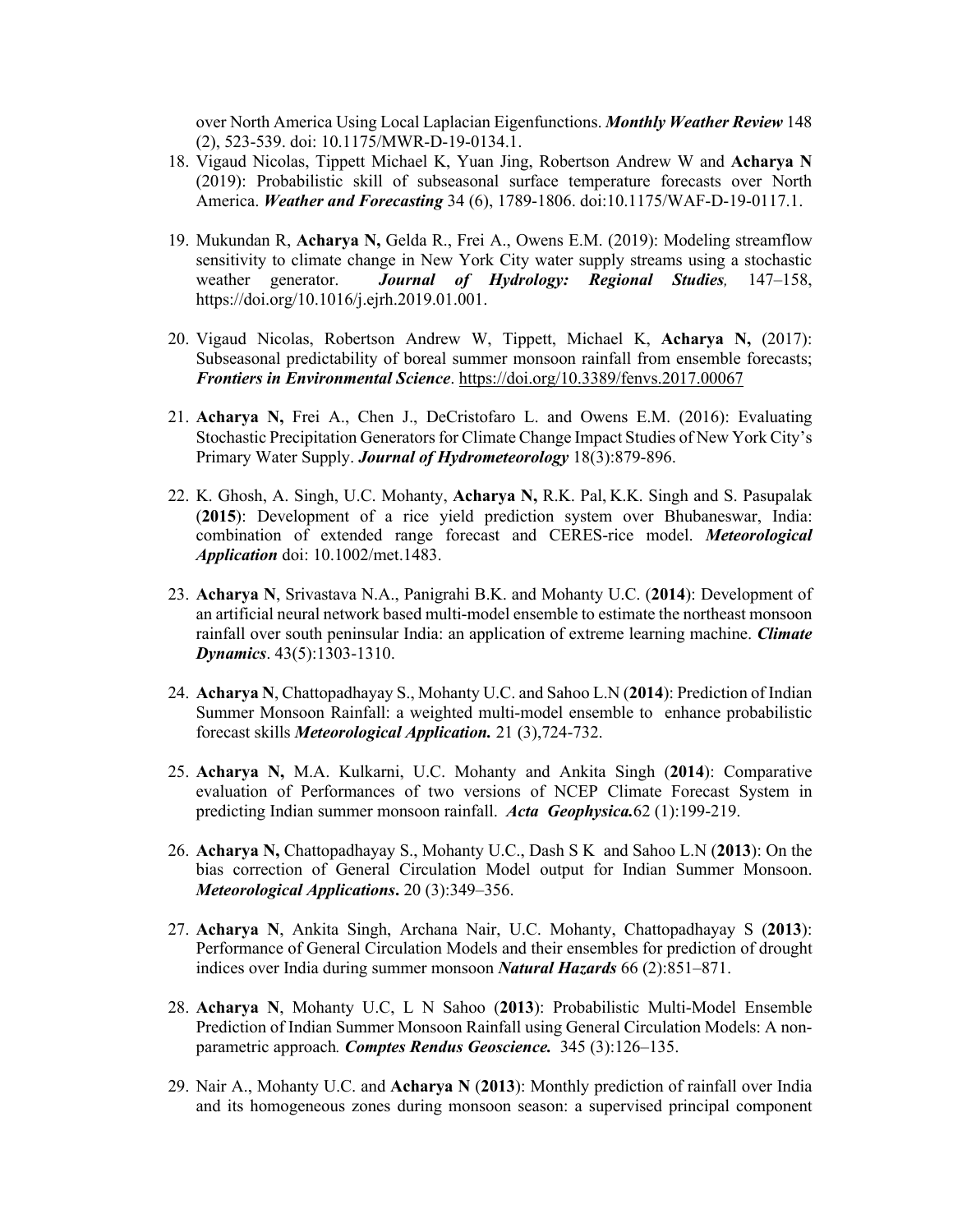over North America Using Local Laplacian Eigenfunctions. *Monthly Weather Review* 148 (2), 523-539. doi: 10.1175/MWR-D-19-0134.1.

- 18. Vigaud Nicolas, Tippett Michael K, Yuan Jing, Robertson Andrew W and **Acharya N** (2019): Probabilistic skill of subseasonal surface temperature forecasts over North America. *Weather and Forecasting* 34 (6), 1789-1806. doi:10.1175/WAF-D-19-0117.1.
- 19. Mukundan R, **Acharya N,** Gelda R., Frei A., Owens E.M. (2019): Modeling streamflow sensitivity to climate change in New York City water supply streams using a stochastic weather generator. *Journal of Hydrology: Regional Studies,* 147–158, https://doi.org/10.1016/j.ejrh.2019.01.001.
- 20. Vigaud Nicolas, Robertson Andrew W, Tippett, Michael K, **Acharya N,** (2017): Subseasonal predictability of boreal summer monsoon rainfall from ensemble forecasts; *Frontiers in Environmental Science*. https://doi.org/10.3389/fenvs.2017.00067
- 21. **Acharya N,** Frei A., Chen J., DeCristofaro L. and Owens E.M. (2016): Evaluating Stochastic Precipitation Generators for Climate Change Impact Studies of New York City's Primary Water Supply. *Journal of Hydrometeorology* 18(3):879-896.
- 22. K. Ghosh, A. Singh, U.C. Mohanty, **Acharya N,** R.K. Pal, K.K. Singh and S. Pasupalak (**2015**): Development of a rice yield prediction system over Bhubaneswar, India: combination of extended range forecast and CERES-rice model. *Meteorological Application* doi: 10.1002/met.1483.
- 23. **Acharya N**, Srivastava N.A., Panigrahi B.K. and Mohanty U.C. (**2014**): Development of an artificial neural network based multi-model ensemble to estimate the northeast monsoon rainfall over south peninsular India: an application of extreme learning machine. *Climate Dynamics*. 43(5):1303-1310.
- 24. **Acharya N**, Chattopadhayay S., Mohanty U.C. and Sahoo L.N (**2014**): Prediction of Indian Summer Monsoon Rainfall: a weighted multi-model ensemble to enhance probabilistic forecast skills *Meteorological Application.* 21 (3),724-732.
- 25. **Acharya N,** M.A. Kulkarni, U.C. Mohanty and Ankita Singh (**2014**): Comparative evaluation of Performances of two versions of NCEP Climate Forecast System in predicting Indian summer monsoon rainfall. *Acta Geophysica.*62 (1):199-219.
- 26. **Acharya N,** Chattopadhayay S., Mohanty U.C., Dash S K and Sahoo L.N (**2013**): On the bias correction of General Circulation Model output for Indian Summer Monsoon. *Meteorological Applications***.** 20 (3):349–356.
- 27. **Acharya N**, Ankita Singh, Archana Nair, U.C. Mohanty, Chattopadhayay S (**2013**): Performance of General Circulation Models and their ensembles for prediction of drought indices over India during summer monsoon *Natural Hazards* 66 (2):851–871.
- 28. **Acharya N**, Mohanty U.C, L N Sahoo (**2013**): Probabilistic Multi-Model Ensemble Prediction of Indian Summer Monsoon Rainfall using General Circulation Models: A nonparametric approach*. Comptes Rendus Geoscience.* 345 (3):126–135.
- 29. Nair A., Mohanty U.C. and **Acharya N** (**2013**): Monthly prediction of rainfall over India and its homogeneous zones during monsoon season: a supervised principal component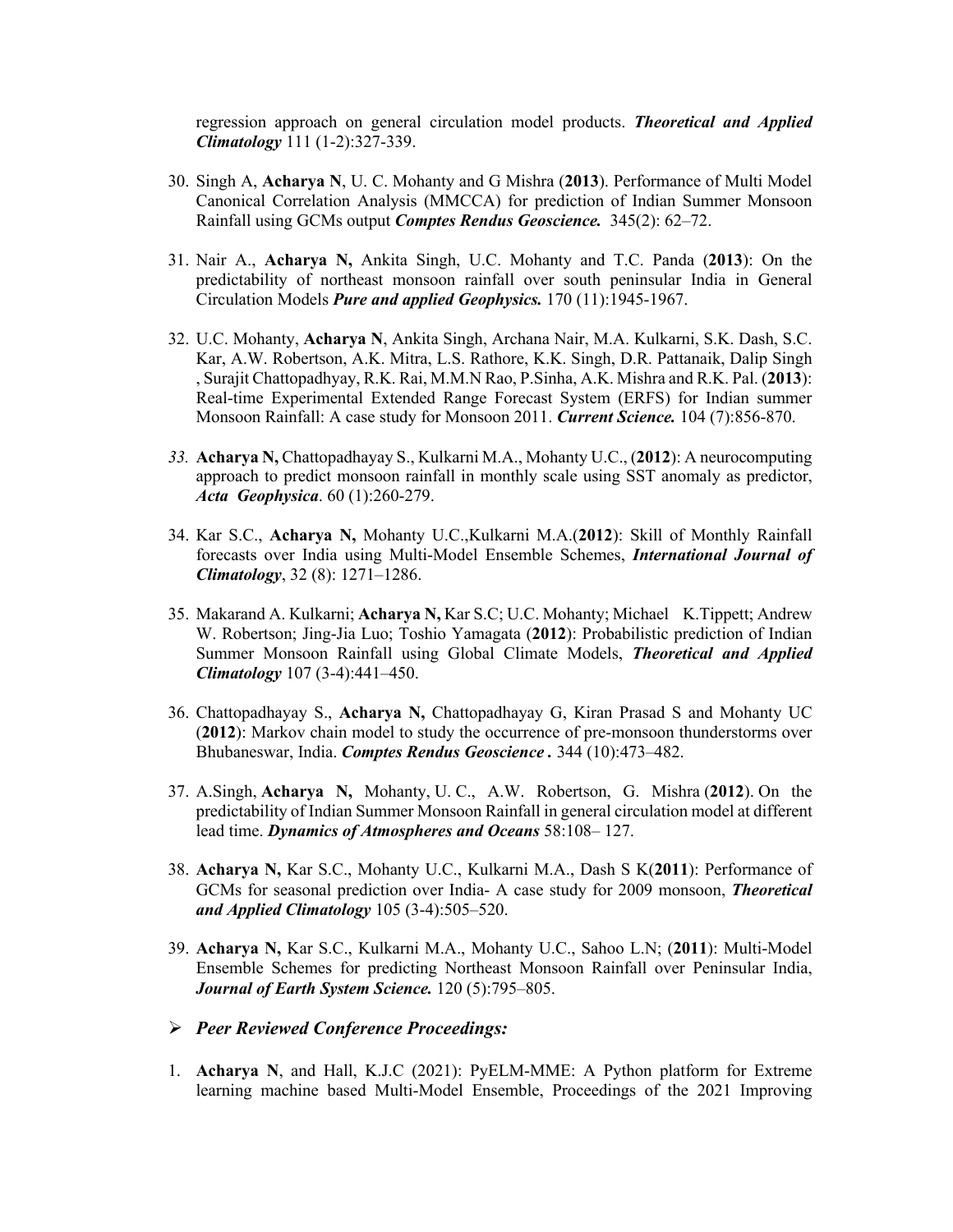regression approach on general circulation model products. *Theoretical and Applied Climatology* 111 (1-2):327-339.

- 30. Singh A, **Acharya N**, U. C. Mohanty and G Mishra (**2013**). Performance of Multi Model Canonical Correlation Analysis (MMCCA) for prediction of Indian Summer Monsoon Rainfall using GCMs output *Comptes Rendus Geoscience.* 345(2): 62–72.
- 31. Nair A., **Acharya N,** Ankita Singh, U.C. Mohanty and T.C. Panda (**2013**): On the predictability of northeast monsoon rainfall over south peninsular India in General Circulation Models *Pure and applied Geophysics.* 170 (11):1945-1967.
- 32. U.C. Mohanty, **Acharya N**, Ankita Singh, Archana Nair, M.A. Kulkarni, S.K. Dash, S.C. Kar, A.W. Robertson, A.K. Mitra, L.S. Rathore, K.K. Singh, D.R. Pattanaik, Dalip Singh , Surajit Chattopadhyay, R.K. Rai, M.M.N Rao, P.Sinha, A.K. Mishra and R.K. Pal. (**2013**): Real-time Experimental Extended Range Forecast System (ERFS) for Indian summer Monsoon Rainfall: A case study for Monsoon 2011. *Current Science.* 104 (7):856-870.
- *33.* **Acharya N,** Chattopadhayay S., Kulkarni M.A., Mohanty U.C., (**2012**): A neurocomputing approach to predict monsoon rainfall in monthly scale using SST anomaly as predictor, *Acta Geophysica*. 60 (1):260-279.
- 34. Kar S.C., **Acharya N,** Mohanty U.C.,Kulkarni M.A.(**2012**): Skill of Monthly Rainfall forecasts over India using Multi-Model Ensemble Schemes, *International Journal of Climatology*, 32 (8): 1271–1286.
- 35. Makarand A. Kulkarni; **Acharya N,** Kar S.C; U.C. Mohanty; Michael K.Tippett; Andrew W. Robertson; Jing-Jia Luo; Toshio Yamagata (**2012**): Probabilistic prediction of Indian Summer Monsoon Rainfall using Global Climate Models, *Theoretical and Applied Climatology* 107 (3-4):441–450.
- 36. Chattopadhayay S., **Acharya N,** Chattopadhayay G, Kiran Prasad S and Mohanty UC (**2012**): Markov chain model to study the occurrence of pre-monsoon thunderstorms over Bhubaneswar, India. *Comptes Rendus Geoscience .* 344 (10):473–482.
- 37. A.Singh, **Acharya N,** Mohanty, U. C., A.W. Robertson, G. Mishra (**2012**). On the predictability of Indian Summer Monsoon Rainfall in general circulation model at different lead time. *Dynamics of Atmospheres and Oceans* 58:108– 127.
- 38. **Acharya N,** Kar S.C., Mohanty U.C., Kulkarni M.A., Dash S K(**2011**): Performance of GCMs for seasonal prediction over India- A case study for 2009 monsoon, *Theoretical and Applied Climatology* 105 (3-4):505–520.
- 39. **Acharya N,** Kar S.C., Kulkarni M.A., Mohanty U.C., Sahoo L.N; (**2011**): Multi-Model Ensemble Schemes for predicting Northeast Monsoon Rainfall over Peninsular India, *Journal of Earth System Science.* 120 (5):795–805.
- Ø *Peer Reviewed Conference Proceedings:*
- 1. **Acharya N**, and Hall, K.J.C (2021): PyELM-MME: A Python platform for Extreme learning machine based Multi-Model Ensemble, Proceedings of the 2021 Improving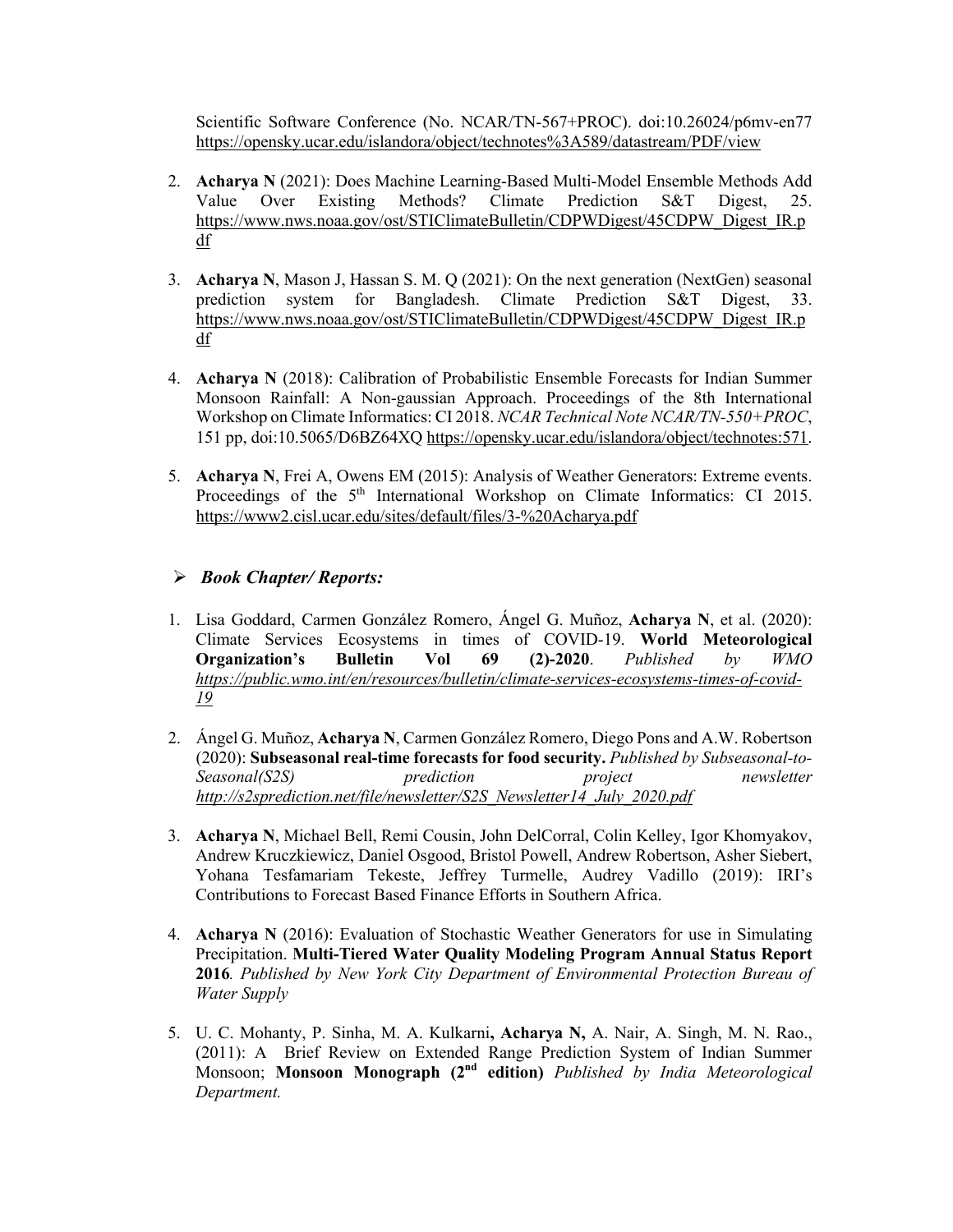Scientific Software Conference (No. NCAR/TN-567+PROC). doi:10.26024/p6mv-en77 https://opensky.ucar.edu/islandora/object/technotes%3A589/datastream/PDF/view

- 2. **Acharya N** (2021): Does Machine Learning-Based Multi-Model Ensemble Methods Add Value Over Existing Methods? Climate Prediction S&T Digest, 25. https://www.nws.noaa.gov/ost/STIClimateBulletin/CDPWDigest/45CDPW\_Digest\_IR.p df
- 3. **Acharya N**, Mason J, Hassan S. M. Q (2021): On the next generation (NextGen) seasonal prediction system for Bangladesh. Climate Prediction S&T Digest, 33. https://www.nws.noaa.gov/ost/STIClimateBulletin/CDPWDigest/45CDPW\_Digest\_IR.p df
- 4. **Acharya N** (2018): Calibration of Probabilistic Ensemble Forecasts for Indian Summer Monsoon Rainfall: A Non-gaussian Approach. Proceedings of the 8th International Workshop on Climate Informatics: CI 2018. *NCAR Technical Note NCAR/TN-550+PROC*, 151 pp, doi:10.5065/D6BZ64XQ https://opensky.ucar.edu/islandora/object/technotes:571.
- 5. **Acharya N**, Frei A, Owens EM (2015): Analysis of Weather Generators: Extreme events. Proceedings of the  $5<sup>th</sup>$  International Workshop on Climate Informatics: CI 2015. https://www2.cisl.ucar.edu/sites/default/files/3-%20Acharya.pdf

# Ø *Book Chapter/ Reports:*

- 1. Lisa Goddard, Carmen González Romero, Ángel G. Muñoz, **Acharya N**, et al. (2020): Climate Services Ecosystems in times of COVID-19. **World Meteorological Organization's Bulletin Vol 69 (2)-2020**. *Published by WMO https://public.wmo.int/en/resources/bulletin/climate-services-ecosystems-times-of-covid-19*
- 2. Ángel G. Muñoz, **Acharya N**, Carmen González Romero, Diego Pons and A.W. Robertson (2020): **Subseasonal real-time forecasts for food security.** *Published by Subseasonal-to-Seasonal(S2S) prediction project newsletter http://s2sprediction.net/file/newsletter/S2S\_Newsletter14\_July\_2020.pdf*
- 3. **Acharya N**, Michael Bell, Remi Cousin, John DelCorral, Colin Kelley, Igor Khomyakov, Andrew Kruczkiewicz, Daniel Osgood, Bristol Powell, Andrew Robertson, Asher Siebert, Yohana Tesfamariam Tekeste, Jeffrey Turmelle, Audrey Vadillo (2019): IRI's Contributions to Forecast Based Finance Efforts in Southern Africa.
- 4. **Acharya N** (2016): Evaluation of Stochastic Weather Generators for use in Simulating Precipitation. **Multi-Tiered Water Quality Modeling Program Annual Status Report 2016***. Published by New York City Department of Environmental Protection Bureau of Water Supply*
- 5. U. C. Mohanty, P. Sinha, M. A. Kulkarni**, Acharya N,** A. Nair, A. Singh, M. N. Rao., (2011): A Brief Review on Extended Range Prediction System of Indian Summer Monsoon; **Monsoon Monograph (2nd edition)** *Published by India Meteorological Department.*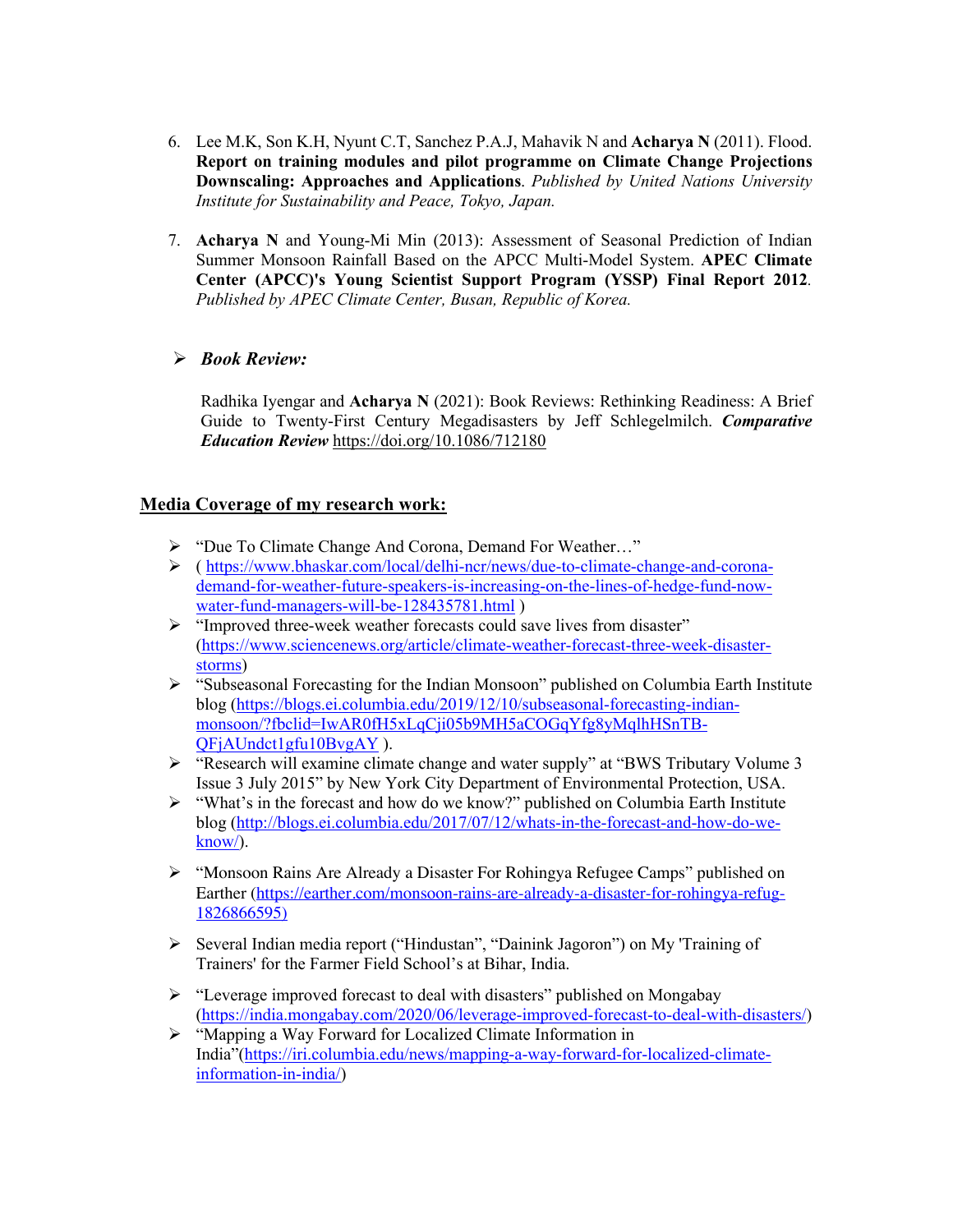- 6. Lee M.K, Son K.H, Nyunt C.T, Sanchez P.A.J, Mahavik N and **Acharya N** (2011). Flood. **Report on training modules and pilot programme on Climate Change Projections Downscaling: Approaches and Applications**. *Published by United Nations University Institute for Sustainability and Peace, Tokyo, Japan.*
- 7. **Acharya N** and Young-Mi Min (2013): Assessment of Seasonal Prediction of Indian Summer Monsoon Rainfall Based on the APCC Multi-Model System. **APEC Climate Center (APCC)'s Young Scientist Support Program (YSSP) Final Report 2012***. Published by APEC Climate Center, Busan, Republic of Korea.*

# Ø *Book Review:*

Radhika Iyengar and **Acharya N** (2021): Book Reviews: Rethinking Readiness: A Brief Guide to Twenty-First Century Megadisasters by Jeff Schlegelmilch. *Comparative Education Review* https://doi.org/10.1086/712180

# **Media Coverage of my research work:**

- Ø "Due To Climate Change And Corona, Demand For Weather…"
- Ø ( https://www.bhaskar.com/local/delhi-ncr/news/due-to-climate-change-and-coronademand-for-weather-future-speakers-is-increasing-on-the-lines-of-hedge-fund-nowwater-fund-managers-will-be-128435781.html )
- Ø "Improved three-week weather forecasts could save lives from disaster" (https://www.sciencenews.org/article/climate-weather-forecast-three-week-disasterstorms)
- Ø "Subseasonal Forecasting for the Indian Monsoon" published on Columbia Earth Institute blog (https://blogs.ei.columbia.edu/2019/12/10/subseasonal-forecasting-indianmonsoon/?fbclid=IwAR0fH5xLqCji05b9MH5aCOGqYfg8yMqlhHSnTB-QFjAUndct1gfu10BvgAY ).
- Ø "Research will examine climate change and water supply" at "BWS Tributary Volume 3 Issue 3 July 2015" by New York City Department of Environmental Protection, USA.
- Ø "What's in the forecast and how do we know?" published on Columbia Earth Institute blog (http://blogs.ei.columbia.edu/2017/07/12/whats-in-the-forecast-and-how-do-weknow/).
- Ø "Monsoon Rains Are Already a Disaster For Rohingya Refugee Camps" published on Earther (https://earther.com/monsoon-rains-are-already-a-disaster-for-rohingya-refug-1826866595)
- Ø Several Indian media report ("Hindustan", "Dainink Jagoron") on My 'Training of Trainers' for the Farmer Field School's at Bihar, India.
- Ø "Leverage improved forecast to deal with disasters" published on Mongabay (https://india.mongabay.com/2020/06/leverage-improved-forecast-to-deal-with-disasters/)
- Ø "Mapping a Way Forward for Localized Climate Information in India"(https://iri.columbia.edu/news/mapping-a-way-forward-for-localized-climateinformation-in-india/)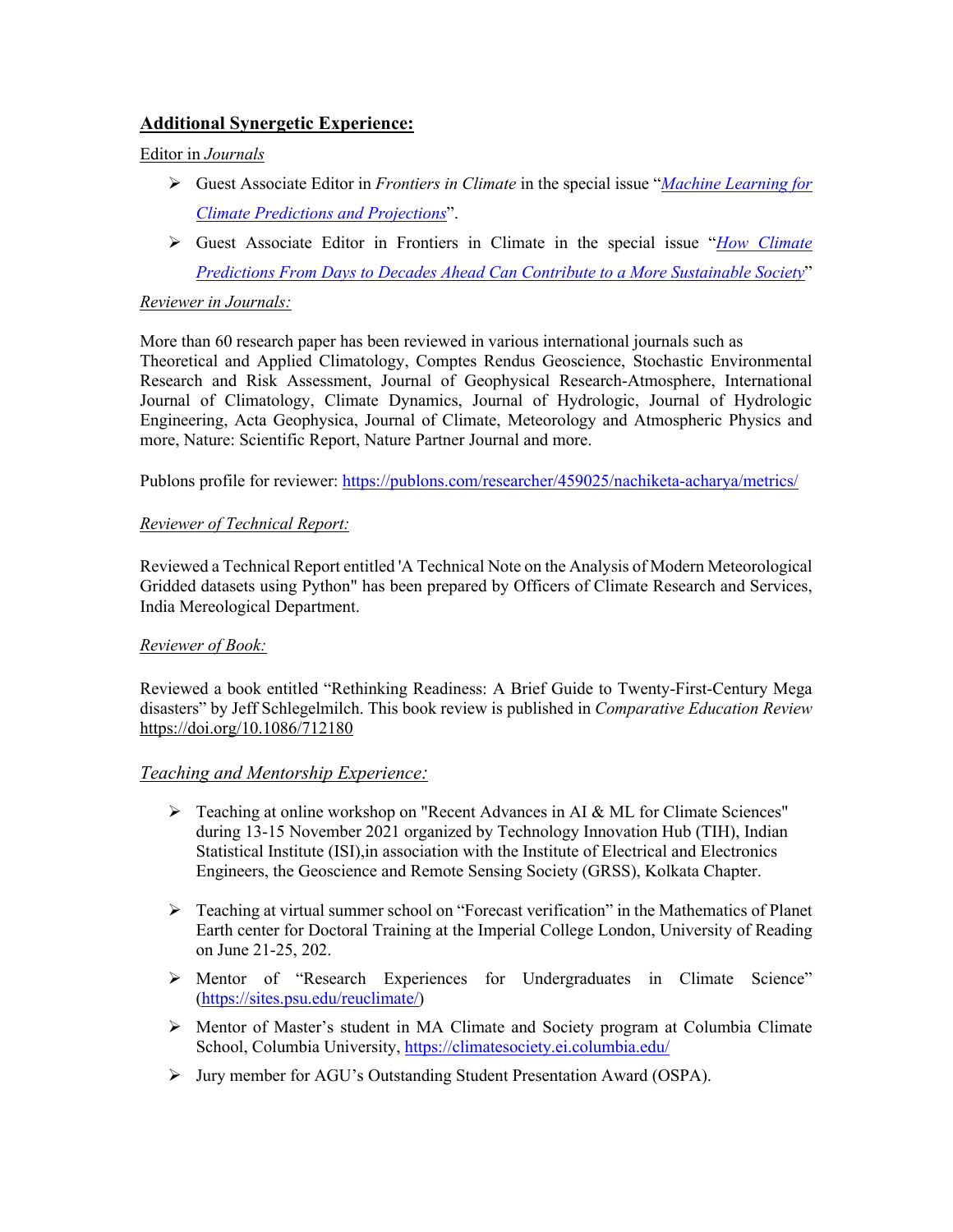# **Additional Synergetic Experience:**

#### Editor in *Journals*

- Ø Guest Associate Editor in *Frontiers in Climate* in the special issue "*Machine Learning for Climate Predictions and Projections*".
- Ø Guest Associate Editor in Frontiers in Climate in the special issue "*How Climate Predictions From Days to Decades Ahead Can Contribute to a More Sustainable Society*"

#### *Reviewer in Journals:*

More than 60 research paper has been reviewed in various international journals such as Theoretical and Applied Climatology, Comptes Rendus Geoscience, Stochastic Environmental Research and Risk Assessment, Journal of Geophysical Research-Atmosphere, International Journal of Climatology, Climate Dynamics, Journal of Hydrologic, Journal of Hydrologic Engineering, Acta Geophysica, Journal of Climate, Meteorology and Atmospheric Physics and more, Nature: Scientific Report, Nature Partner Journal and more.

Publons profile for reviewer: https://publons.com/researcher/459025/nachiketa-acharya/metrics/

### *Reviewer of Technical Report:*

Reviewed a Technical Report entitled 'A Technical Note on the Analysis of Modern Meteorological Gridded datasets using Python" has been prepared by Officers of Climate Research and Services, India Mereological Department.

#### *Reviewer of Book:*

Reviewed a book entitled "Rethinking Readiness: A Brief Guide to Twenty-First-Century Mega disasters" by Jeff Schlegelmilch. This book review is published in *Comparative Education Review* https://doi.org/10.1086/712180

# *Teaching and Mentorship Experience:*

- $\triangleright$  Teaching at online workshop on "Recent Advances in AI & ML for Climate Sciences" during 13-15 November 2021 organized by Technology Innovation Hub (TIH), Indian Statistical Institute (ISI),in association with the Institute of Electrical and Electronics Engineers, the Geoscience and Remote Sensing Society (GRSS), Kolkata Chapter.
- $\triangleright$  Teaching at virtual summer school on "Forecast verification" in the Mathematics of Planet Earth center for Doctoral Training at the Imperial College London, University of Reading on June 21-25, 202.
- Ø Mentor of "Research Experiences for Undergraduates in Climate Science" (https://sites.psu.edu/reuclimate/)
- Ø Mentor of Master's student in MA Climate and Society program at Columbia Climate School, Columbia University, https://climatesociety.ei.columbia.edu/
- Ø Jury member for AGU's Outstanding Student Presentation Award (OSPA).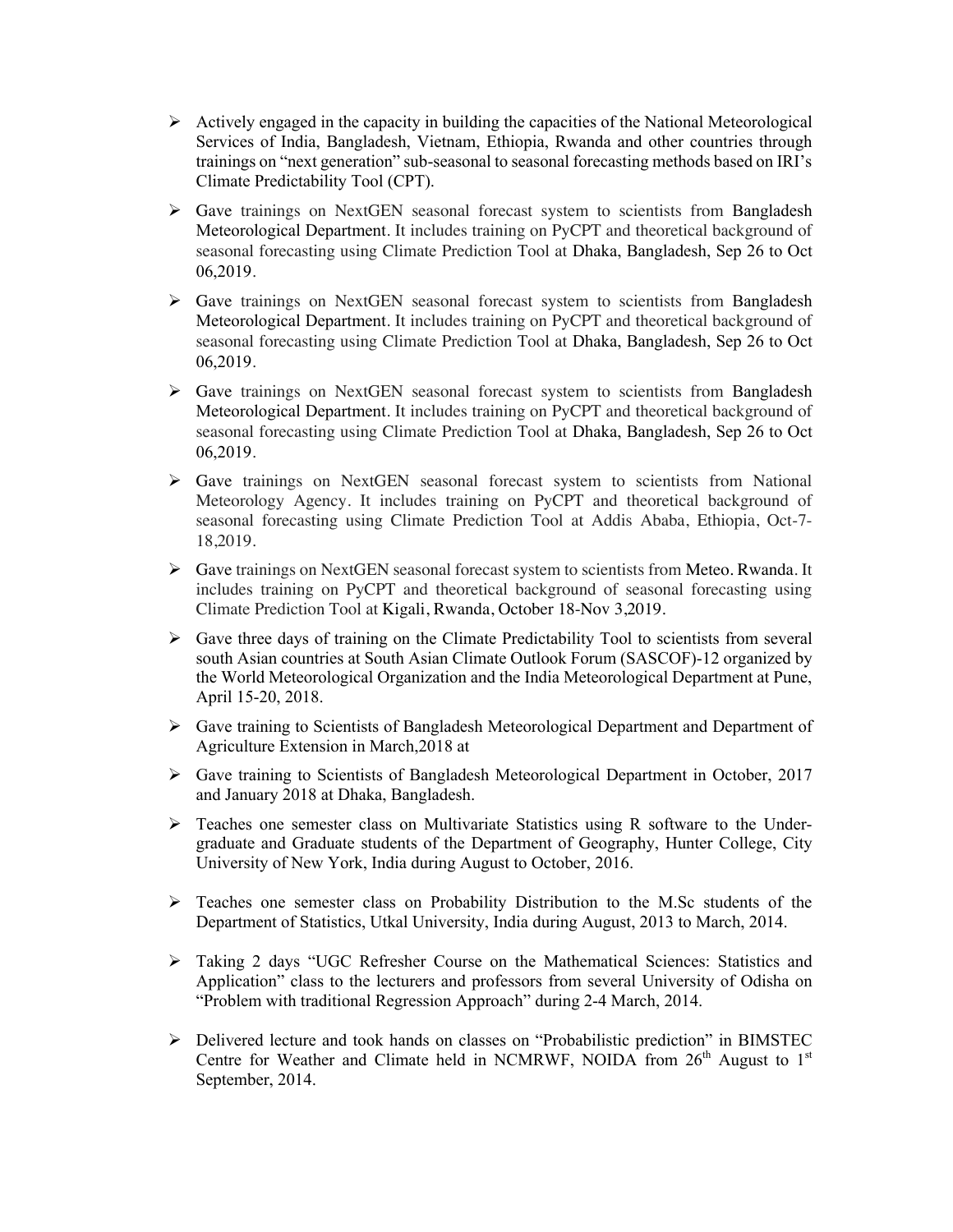- $\triangleright$  Actively engaged in the capacity in building the capacities of the National Meteorological Services of India, Bangladesh, Vietnam, Ethiopia, Rwanda and other countries through trainings on "next generation" sub-seasonal to seasonal forecasting methods based on IRI's Climate Predictability Tool (CPT).
- $\triangleright$  Gave trainings on NextGEN seasonal forecast system to scientists from Bangladesh Meteorological Department. It includes training on PyCPT and theoretical background of seasonal forecasting using Climate Prediction Tool at Dhaka, Bangladesh, Sep 26 to Oct 06,2019.
- $\triangleright$  Gave trainings on NextGEN seasonal forecast system to scientists from Bangladesh Meteorological Department. It includes training on PyCPT and theoretical background of seasonal forecasting using Climate Prediction Tool at Dhaka, Bangladesh, Sep 26 to Oct 06,2019.
- $\triangleright$  Gave trainings on NextGEN seasonal forecast system to scientists from Bangladesh Meteorological Department. It includes training on PyCPT and theoretical background of seasonal forecasting using Climate Prediction Tool at Dhaka, Bangladesh, Sep 26 to Oct 06,2019.
- $\triangleright$  Gave trainings on NextGEN seasonal forecast system to scientists from National Meteorology Agency. It includes training on PyCPT and theoretical background of seasonal forecasting using Climate Prediction Tool at Addis Ababa, Ethiopia, Oct-7- 18,2019.
- $\triangleright$  Gave trainings on NextGEN seasonal forecast system to scientists from Meteo. Rwanda. It includes training on PyCPT and theoretical background of seasonal forecasting using Climate Prediction Tool at Kigali, Rwanda, October 18-Nov 3,2019.
- Ø Gave three days of training on the Climate Predictability Tool to scientists from several south Asian countries at South Asian Climate Outlook Forum (SASCOF)-12 organized by the World Meteorological Organization and the India Meteorological Department at Pune, April 15-20, 2018.
- Ø Gave training to Scientists of Bangladesh Meteorological Department and Department of Agriculture Extension in March,2018 at
- $\triangleright$  Gave training to Scientists of Bangladesh Meteorological Department in October, 2017 and January 2018 at Dhaka, Bangladesh.
- $\triangleright$  Teaches one semester class on Multivariate Statistics using R software to the Undergraduate and Graduate students of the Department of Geography, Hunter College, City University of New York, India during August to October, 2016.
- $\triangleright$  Teaches one semester class on Probability Distribution to the M.Sc students of the Department of Statistics, Utkal University, India during August, 2013 to March, 2014.
- $\triangleright$  Taking 2 days "UGC Refresher Course on the Mathematical Sciences: Statistics and Application" class to the lecturers and professors from several University of Odisha on "Problem with traditional Regression Approach" during 2-4 March, 2014.
- Ø Delivered lecture and took hands on classes on "Probabilistic prediction" in BIMSTEC Centre for Weather and Climate held in NCMRWF, NOIDA from  $26<sup>th</sup>$  August to 1<sup>st</sup> September, 2014.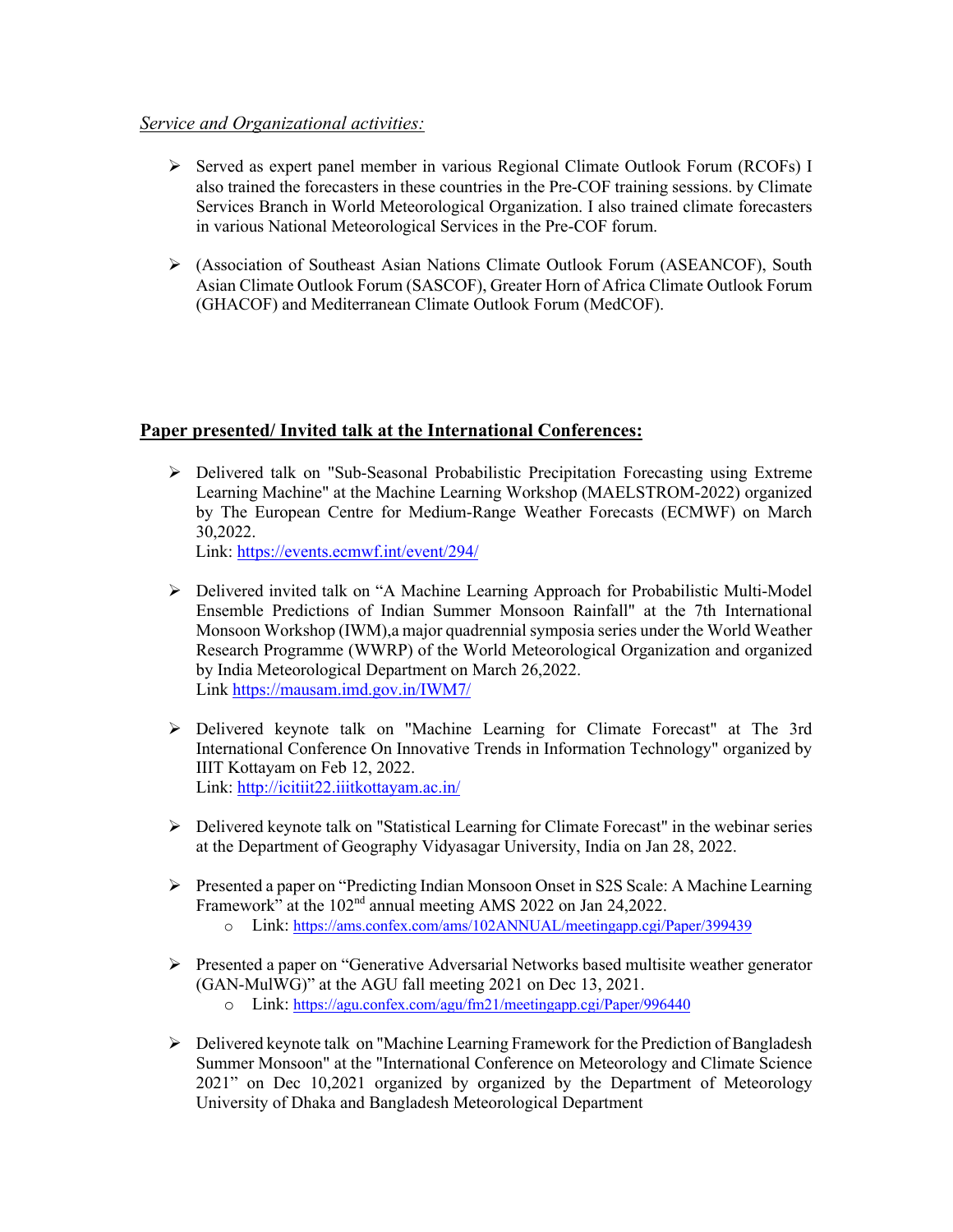# *Service and Organizational activities:*

- $\triangleright$  Served as expert panel member in various Regional Climate Outlook Forum (RCOFs) I also trained the forecasters in these countries in the Pre-COF training sessions. by Climate Services Branch in World Meteorological Organization. I also trained climate forecasters in various National Meteorological Services in the Pre-COF forum.
- Ø (Association of Southeast Asian Nations Climate Outlook Forum (ASEANCOF), South Asian Climate Outlook Forum (SASCOF), Greater Horn of Africa Climate Outlook Forum (GHACOF) and Mediterranean Climate Outlook Forum (MedCOF).

# **Paper presented/ Invited talk at the International Conferences:**

 $\triangleright$  Delivered talk on "Sub-Seasonal Probabilistic Precipitation Forecasting using Extreme Learning Machine" at the Machine Learning Workshop (MAELSTROM-2022) organized by The European Centre for Medium-Range Weather Forecasts (ECMWF) on March 30,2022.

Link: https://events.ecmwf.int/event/294/

- Ø Delivered invited talk on "A Machine Learning Approach for Probabilistic Multi-Model Ensemble Predictions of Indian Summer Monsoon Rainfall" at the 7th International Monsoon Workshop (IWM),a major quadrennial symposia series under the World Weather Research Programme (WWRP) of the World Meteorological Organization and organized by India Meteorological Department on March 26,2022. Link https://mausam.imd.gov.in/IWM7/
- $\triangleright$  Delivered keynote talk on "Machine Learning for Climate Forecast" at The 3rd International Conference On Innovative Trends in Information Technology" organized by IIIT Kottayam on Feb 12, 2022. Link: http://icitiit22.iiitkottayam.ac.in/
- $\triangleright$  Delivered keynote talk on "Statistical Learning for Climate Forecast" in the webinar series at the Department of Geography Vidyasagar University, India on Jan 28, 2022.
- Ø Presented a paper on "Predicting Indian Monsoon Onset in S2S Scale: A Machine Learning Framework" at the 102<sup>nd</sup> annual meeting AMS 2022 on Jan 24,2022.
	- o Link: https://ams.confex.com/ams/102ANNUAL/meetingapp.cgi/Paper/399439
- $\triangleright$  Presented a paper on "Generative Adversarial Networks based multisite weather generator (GAN-MulWG)" at the AGU fall meeting 2021 on Dec 13, 2021.
	- o Link: https://agu.confex.com/agu/fm21/meetingapp.cgi/Paper/996440
- Ø Delivered keynote talk on "Machine Learning Framework for the Prediction of Bangladesh Summer Monsoon" at the "International Conference on Meteorology and Climate Science 2021" on Dec 10,2021 organized by organized by the Department of Meteorology University of Dhaka and Bangladesh Meteorological Department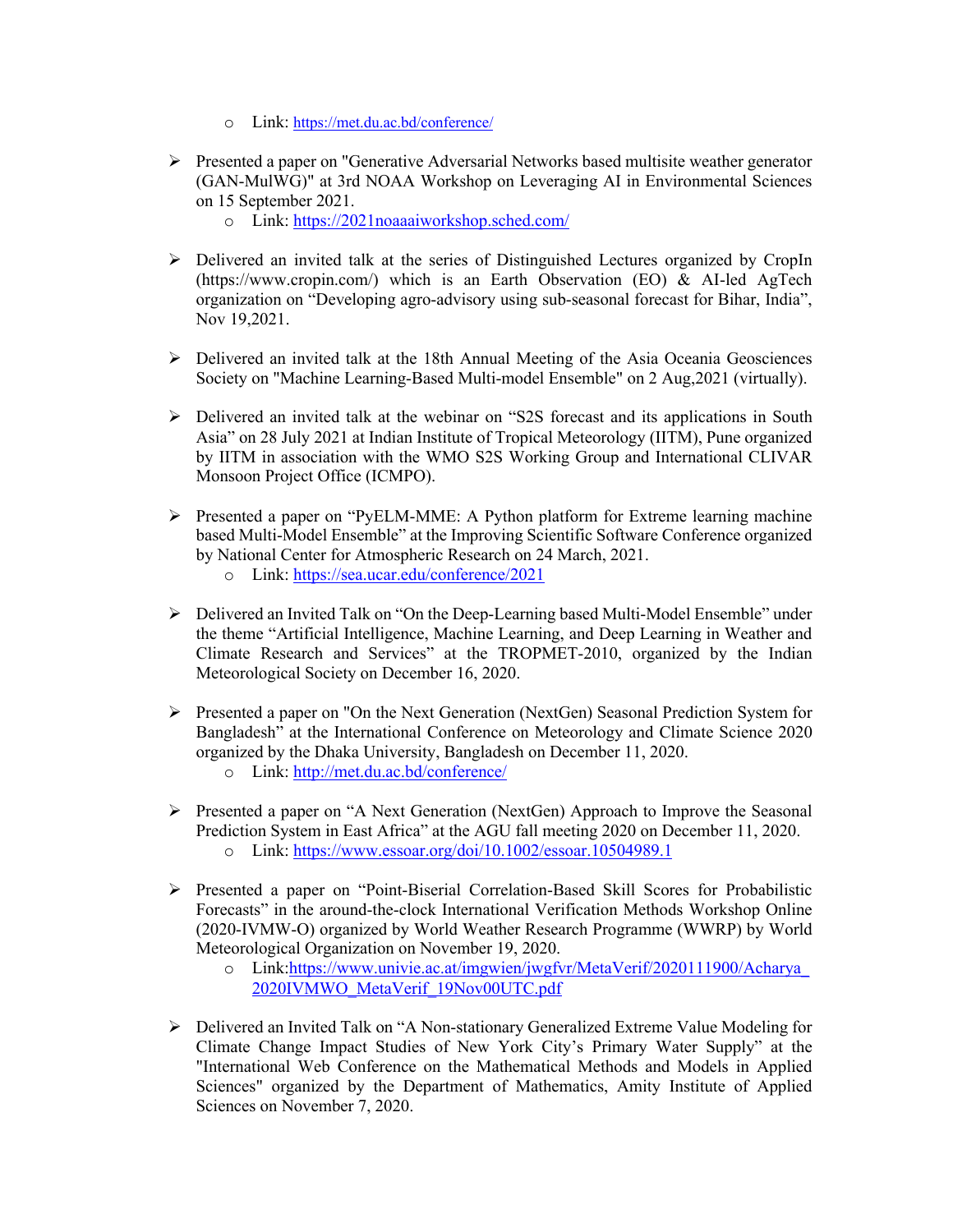- o Link: https://met.du.ac.bd/conference/
- Ø Presented a paper on "Generative Adversarial Networks based multisite weather generator (GAN-MulWG)" at 3rd NOAA Workshop on Leveraging AI in Environmental Sciences on 15 September 2021.
	- o Link: https://2021noaaaiworkshop.sched.com/
- $\triangleright$  Delivered an invited talk at the series of Distinguished Lectures organized by CropIn (https://www.cropin.com/) which is an Earth Observation (EO) & AI-led AgTech organization on "Developing agro-advisory using sub-seasonal forecast for Bihar, India", Nov 19,2021.
- $\triangleright$  Delivered an invited talk at the 18th Annual Meeting of the Asia Oceania Geosciences Society on "Machine Learning-Based Multi-model Ensemble" on 2 Aug,2021 (virtually).
- Ø Delivered an invited talk at the webinar on "S2S forecast and its applications in South Asia" on 28 July 2021 at Indian Institute of Tropical Meteorology (IITM), Pune organized by IITM in association with the WMO S2S Working Group and International CLIVAR Monsoon Project Office (ICMPO).
- $\triangleright$  Presented a paper on "PyELM-MME: A Python platform for Extreme learning machine based Multi-Model Ensemble" at the Improving Scientific Software Conference organized by National Center for Atmospheric Research on 24 March, 2021.
	- o Link: https://sea.ucar.edu/conference/2021
- $\triangleright$  Delivered an Invited Talk on "On the Deep-Learning based Multi-Model Ensemble" under the theme "Artificial Intelligence, Machine Learning, and Deep Learning in Weather and Climate Research and Services" at the TROPMET-2010, organized by the Indian Meteorological Society on December 16, 2020.
- Ø Presented a paper on "On the Next Generation (NextGen) Seasonal Prediction System for Bangladesh" at the International Conference on Meteorology and Climate Science 2020 organized by the Dhaka University, Bangladesh on December 11, 2020.
	- o Link: http://met.du.ac.bd/conference/
- Ø Presented a paper on "A Next Generation (NextGen) Approach to Improve the Seasonal Prediction System in East Africa" at the AGU fall meeting 2020 on December 11, 2020. o Link: https://www.essoar.org/doi/10.1002/essoar.10504989.1
- Ø Presented a paper on "Point-Biserial Correlation-Based Skill Scores for Probabilistic Forecasts" in the around-the-clock International Verification Methods Workshop Online (2020-IVMW-O) organized by World Weather Research Programme (WWRP) by World Meteorological Organization on November 19, 2020.
	- o Link:https://www.univie.ac.at/imgwien/jwgfvr/MetaVerif/2020111900/Acharya\_ 2020IVMWO\_MetaVerif\_19Nov00UTC.pdf
- Ø Delivered an Invited Talk on "A Non-stationary Generalized Extreme Value Modeling for Climate Change Impact Studies of New York City's Primary Water Supply" at the "International Web Conference on the Mathematical Methods and Models in Applied Sciences" organized by the Department of Mathematics, Amity Institute of Applied Sciences on November 7, 2020.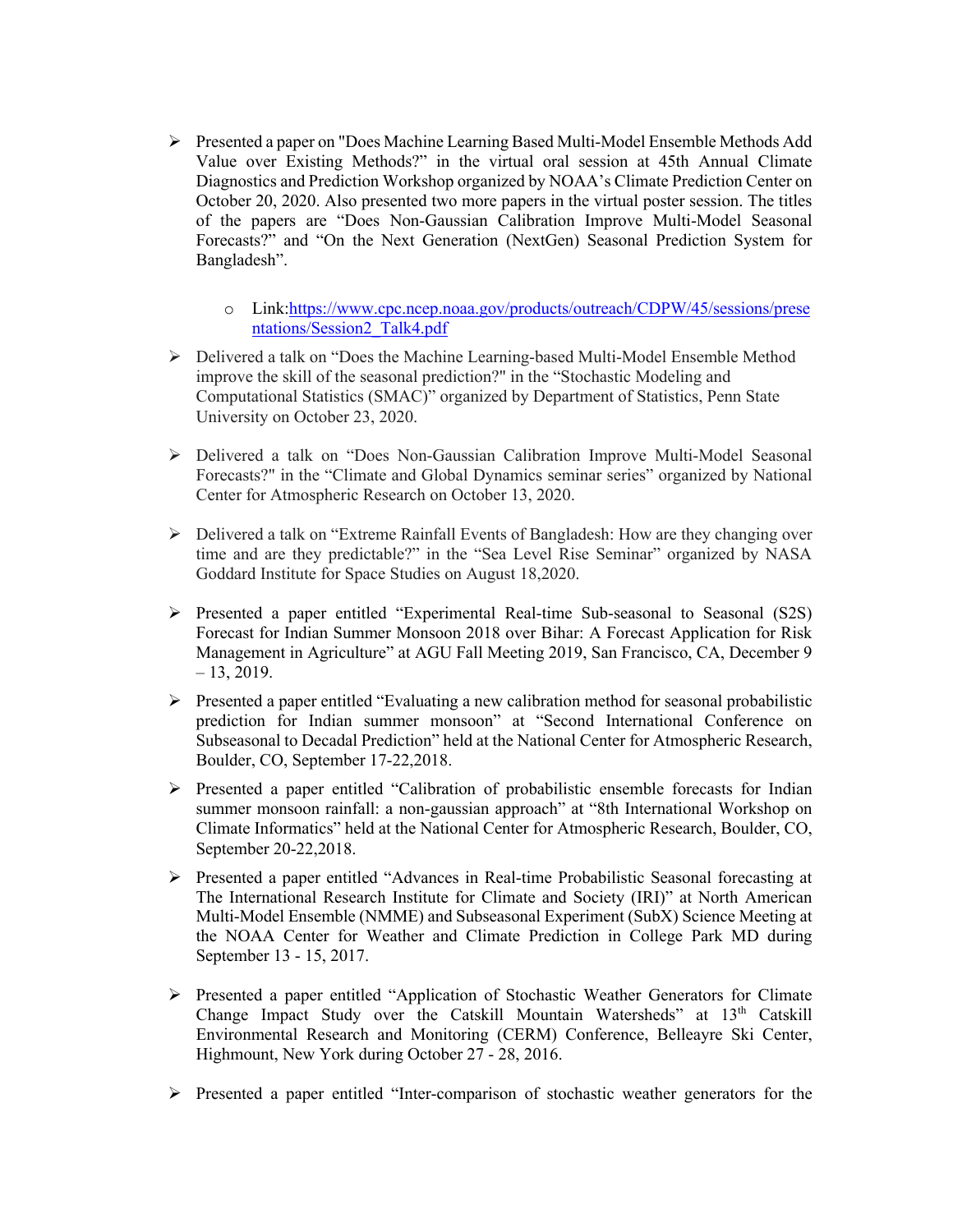- Ø Presented a paper on "Does Machine Learning Based Multi-Model Ensemble Methods Add Value over Existing Methods?" in the virtual oral session at 45th Annual Climate Diagnostics and Prediction Workshop organized by NOAA's Climate Prediction Center on October 20, 2020. Also presented two more papers in the virtual poster session. The titles of the papers are "Does Non-Gaussian Calibration Improve Multi-Model Seasonal Forecasts?" and "On the Next Generation (NextGen) Seasonal Prediction System for Bangladesh".
	- o Link:https://www.cpc.ncep.noaa.gov/products/outreach/CDPW/45/sessions/prese ntations/Session2\_Talk4.pdf
- $\triangleright$  Delivered a talk on "Does the Machine Learning-based Multi-Model Ensemble Method improve the skill of the seasonal prediction?" in the "Stochastic Modeling and Computational Statistics (SMAC)" organized by Department of Statistics, Penn State University on October 23, 2020.
- Ø Delivered a talk on "Does Non-Gaussian Calibration Improve Multi-Model Seasonal Forecasts?" in the "Climate and Global Dynamics seminar series" organized by National Center for Atmospheric Research on October 13, 2020.
- $\triangleright$  Delivered a talk on "Extreme Rainfall Events of Bangladesh: How are they changing over time and are they predictable?" in the "Sea Level Rise Seminar" organized by NASA Goddard Institute for Space Studies on August 18,2020.
- $\triangleright$  Presented a paper entitled "Experimental Real-time Sub-seasonal to Seasonal (S2S) Forecast for Indian Summer Monsoon 2018 over Bihar: A Forecast Application for Risk Management in Agriculture" at AGU Fall Meeting 2019, San Francisco, CA, December 9  $-13, 2019.$
- Ø Presented a paper entitled "Evaluating a new calibration method for seasonal probabilistic prediction for Indian summer monsoon" at "Second International Conference on Subseasonal to Decadal Prediction" held at the National Center for Atmospheric Research, Boulder, CO, September 17-22,2018.
- Ø Presented a paper entitled "Calibration of probabilistic ensemble forecasts for Indian summer monsoon rainfall: a non-gaussian approach" at "8th International Workshop on Climate Informatics" held at the National Center for Atmospheric Research, Boulder, CO, September 20-22,2018.
- $\triangleright$  Presented a paper entitled "Advances in Real-time Probabilistic Seasonal forecasting at The International Research Institute for Climate and Society (IRI)" at North American Multi-Model Ensemble (NMME) and Subseasonal Experiment (SubX) Science Meeting at the NOAA Center for Weather and Climate Prediction in College Park MD during September 13 - 15, 2017.
- Ø Presented a paper entitled "Application of Stochastic Weather Generators for Climate Change Impact Study over the Catskill Mountain Watersheds" at 13<sup>th</sup> Catskill Environmental Research and Monitoring (CERM) Conference, Belleayre Ski Center, Highmount, New York during October 27 - 28, 2016.
- $\triangleright$  Presented a paper entitled "Inter-comparison of stochastic weather generators for the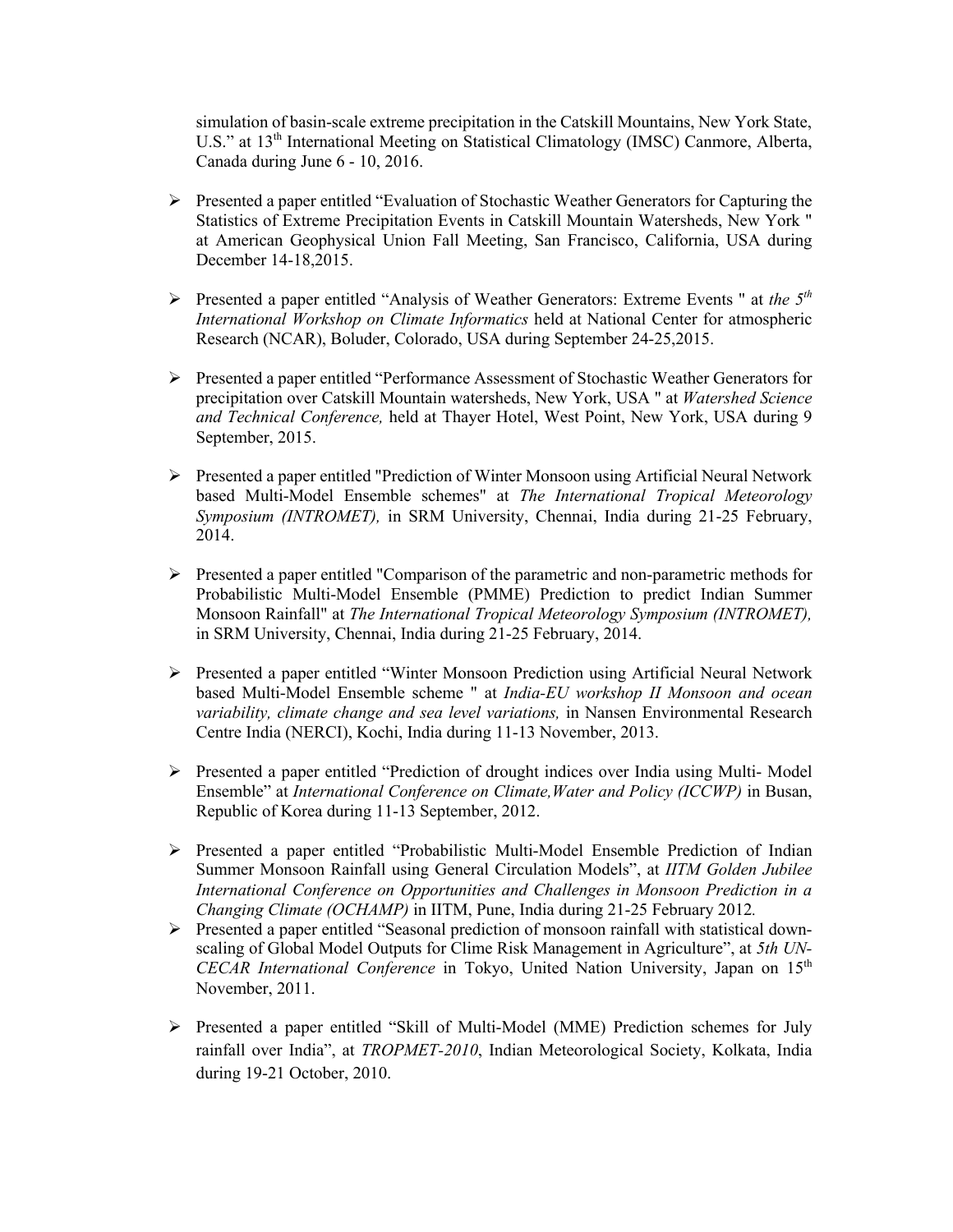simulation of basin-scale extreme precipitation in the Catskill Mountains, New York State, U.S." at 13<sup>th</sup> International Meeting on Statistical Climatology (IMSC) Canmore, Alberta, Canada during June 6 - 10, 2016.

- $\triangleright$  Presented a paper entitled "Evaluation of Stochastic Weather Generators for Capturing the Statistics of Extreme Precipitation Events in Catskill Mountain Watersheds, New York " at American Geophysical Union Fall Meeting, San Francisco, California, USA during December 14-18,2015.
- Ø Presented a paper entitled "Analysis of Weather Generators: Extreme Events " at *the 5th International Workshop on Climate Informatics* held at National Center for atmospheric Research (NCAR), Boluder, Colorado, USA during September 24-25,2015.
- Ø Presented a paper entitled "Performance Assessment of Stochastic Weather Generators for precipitation over Catskill Mountain watersheds, New York, USA " at *Watershed Science and Technical Conference,* held at Thayer Hotel, West Point, New York, USA during 9 September, 2015.
- $\triangleright$  Presented a paper entitled "Prediction of Winter Monsoon using Artificial Neural Network based Multi-Model Ensemble schemes" at *The International Tropical Meteorology Symposium (INTROMET),* in SRM University, Chennai, India during 21-25 February, 2014.
- $\triangleright$  Presented a paper entitled "Comparison of the parametric and non-parametric methods for Probabilistic Multi-Model Ensemble (PMME) Prediction to predict Indian Summer Monsoon Rainfall" at *The International Tropical Meteorology Symposium (INTROMET),*  in SRM University, Chennai, India during 21-25 February, 2014.
- Ø Presented a paper entitled "Winter Monsoon Prediction using Artificial Neural Network based Multi-Model Ensemble scheme " at *India-EU workshop II Monsoon and ocean variability, climate change and sea level variations,* in Nansen Environmental Research Centre India (NERCI), Kochi, India during 11-13 November, 2013.
- $\triangleright$  Presented a paper entitled "Prediction of drought indices over India using Multi-Model Ensemble" at *International Conference on Climate,Water and Policy (ICCWP)* in Busan, Republic of Korea during 11-13 September, 2012.
- $\triangleright$  Presented a paper entitled "Probabilistic Multi-Model Ensemble Prediction of Indian Summer Monsoon Rainfall using General Circulation Models", at *IITM Golden Jubilee International Conference on Opportunities and Challenges in Monsoon Prediction in a Changing Climate (OCHAMP)* in IITM, Pune, India during 21-25 February 2012*.*
- Ø Presented a paper entitled "Seasonal prediction of monsoon rainfall with statistical downscaling of Global Model Outputs for Clime Risk Management in Agriculture", at *5th UN-CECAR International Conference* in Tokyo, United Nation University, Japan on 15<sup>th</sup> November, 2011.
- Ø Presented a paper entitled "Skill of Multi-Model (MME) Prediction schemes for July rainfall over India", at *TROPMET-2010*, Indian Meteorological Society, Kolkata, India during 19-21 October, 2010.